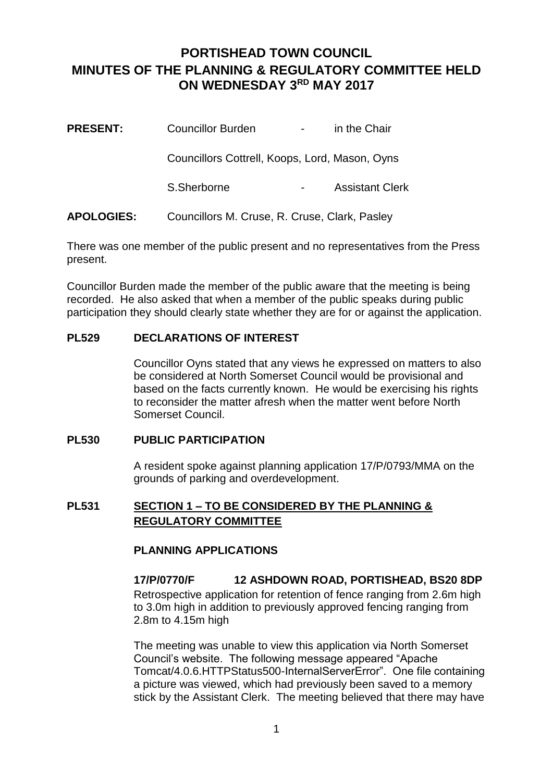# **PORTISHEAD TOWN COUNCIL MINUTES OF THE PLANNING & REGULATORY COMMITTEE HELD ON WEDNESDAY 3RD MAY 2017**

| <b>PRESENT:</b>   | <b>Councillor Burden</b>                       | $\sim 100$ | in the Chair           |
|-------------------|------------------------------------------------|------------|------------------------|
|                   | Councillors Cottrell, Koops, Lord, Mason, Oyns |            |                        |
|                   | S.Sherborne                                    |            | <b>Assistant Clerk</b> |
| <b>APOLOGIES:</b> | Councillors M. Cruse, R. Cruse, Clark, Pasley  |            |                        |

There was one member of the public present and no representatives from the Press present.

Councillor Burden made the member of the public aware that the meeting is being recorded. He also asked that when a member of the public speaks during public participation they should clearly state whether they are for or against the application.

# **PL529 DECLARATIONS OF INTEREST**

Councillor Oyns stated that any views he expressed on matters to also be considered at North Somerset Council would be provisional and based on the facts currently known. He would be exercising his rights to reconsider the matter afresh when the matter went before North Somerset Council.

#### **PL530 PUBLIC PARTICIPATION**

A resident spoke against planning application 17/P/0793/MMA on the grounds of parking and overdevelopment.

# **PL531 SECTION 1 – TO BE CONSIDERED BY THE PLANNING & REGULATORY COMMITTEE**

# **PLANNING APPLICATIONS**

**17/P/0770/F 12 ASHDOWN ROAD, PORTISHEAD, BS20 8DP** Retrospective application for retention of fence ranging from 2.6m high to 3.0m high in addition to previously approved fencing ranging from 2.8m to 4.15m high

The meeting was unable to view this application via North Somerset Council's website. The following message appeared "Apache Tomcat/4.0.6.HTTPStatus500-InternalServerError". One file containing a picture was viewed, which had previously been saved to a memory stick by the Assistant Clerk. The meeting believed that there may have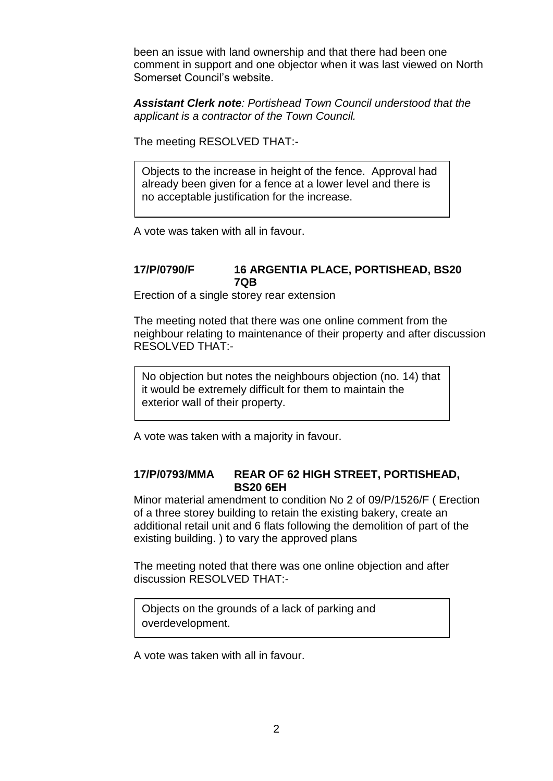been an issue with land ownership and that there had been one comment in support and one objector when it was last viewed on North Somerset Council's website.

*Assistant Clerk note: Portishead Town Council understood that the applicant is a contractor of the Town Council.*

The meeting RESOLVED THAT:-

Objects to the increase in height of the fence. Approval had already been given for a fence at a lower level and there is no acceptable justification for the increase.

A vote was taken with all in favour.

#### **17/P/0790/F 16 ARGENTIA PLACE, PORTISHEAD, BS20 7QB**

Erection of a single storey rear extension

The meeting noted that there was one online comment from the neighbour relating to maintenance of their property and after discussion RESOLVED THAT:-

No objection but notes the neighbours objection (no. 14) that it would be extremely difficult for them to maintain the exterior wall of their property.

A vote was taken with a majority in favour.

### **17/P/0793/MMA REAR OF 62 HIGH STREET, PORTISHEAD, BS20 6EH**

Minor material amendment to condition No 2 of 09/P/1526/F ( Erection of a three storey building to retain the existing bakery, create an additional retail unit and 6 flats following the demolition of part of the existing building. ) to vary the approved plans

The meeting noted that there was one online objection and after discussion RESOLVED THAT:-

Objects on the grounds of a lack of parking and overdevelopment.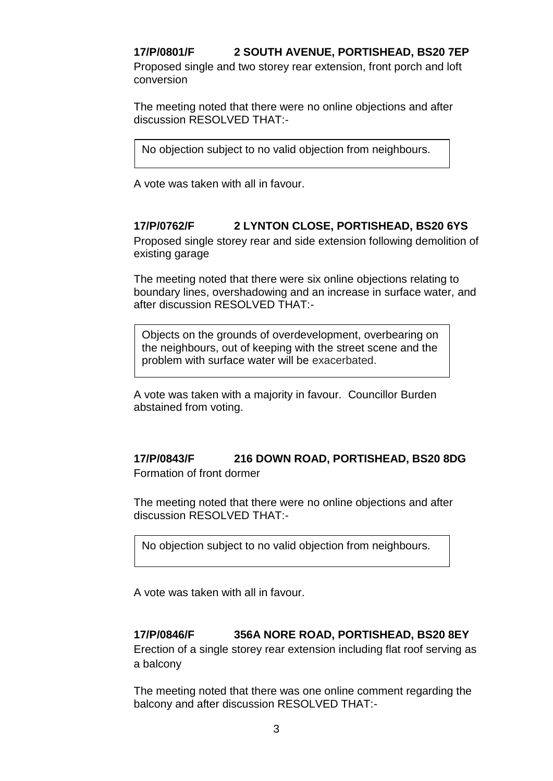**17/P/0801/F 2 SOUTH AVENUE, PORTISHEAD, BS20 7EP** Proposed single and two storey rear extension, front porch and loft conversion

The meeting noted that there were no online objections and after discussion RESOLVED THAT:-

No objection subject to no valid objection from neighbours.

A vote was taken with all in favour.

# **17/P/0762/F 2 LYNTON CLOSE, PORTISHEAD, BS20 6YS**

Proposed single storey rear and side extension following demolition of existing garage

The meeting noted that there were six online objections relating to boundary lines, overshadowing and an increase in surface water, and after discussion RESOLVED THAT:-

Objects on the grounds of overdevelopment, overbearing on the neighbours, out of keeping with the street scene and the problem with surface water will be exacerbated.

A vote was taken with a majority in favour. Councillor Burden abstained from voting.

# **17/P/0843/F 216 DOWN ROAD, PORTISHEAD, BS20 8DG**

Formation of front dormer

The meeting noted that there were no online objections and after discussion RESOLVED THAT:-

No objection subject to no valid objection from neighbours.

A vote was taken with all in favour.

# **17/P/0846/F 356A NORE ROAD, PORTISHEAD, BS20 8EY**

Erection of a single storey rear extension including flat roof serving as a balcony

The meeting noted that there was one online comment regarding the balcony and after discussion RESOLVED THAT:-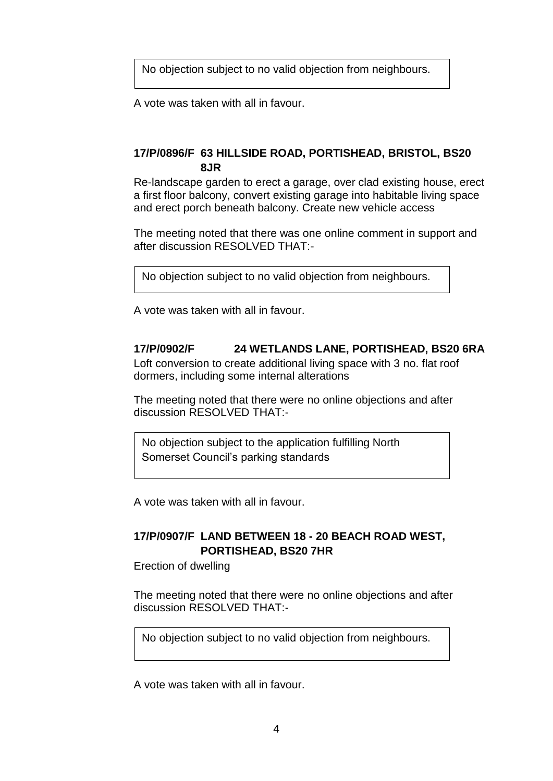No objection subject to no valid objection from neighbours.

A vote was taken with all in favour.

# **17/P/0896/F 63 HILLSIDE ROAD, PORTISHEAD, BRISTOL, BS20 8JR**

Re-landscape garden to erect a garage, over clad existing house, erect a first floor balcony, convert existing garage into habitable living space and erect porch beneath balcony. Create new vehicle access

The meeting noted that there was one online comment in support and after discussion RESOLVED THAT:-

No objection subject to no valid objection from neighbours.

A vote was taken with all in favour.

# **17/P/0902/F 24 WETLANDS LANE, PORTISHEAD, BS20 6RA**

Loft conversion to create additional living space with 3 no. flat roof dormers, including some internal alterations

The meeting noted that there were no online objections and after discussion RESOLVED THAT:-

No objection subject to the application fulfilling North Somerset Council's parking standards

A vote was taken with all in favour.

# **17/P/0907/F LAND BETWEEN 18 - 20 BEACH ROAD WEST, PORTISHEAD, BS20 7HR**

Erection of dwelling

The meeting noted that there were no online objections and after discussion RESOLVED THAT:-

No objection subject to no valid objection from neighbours.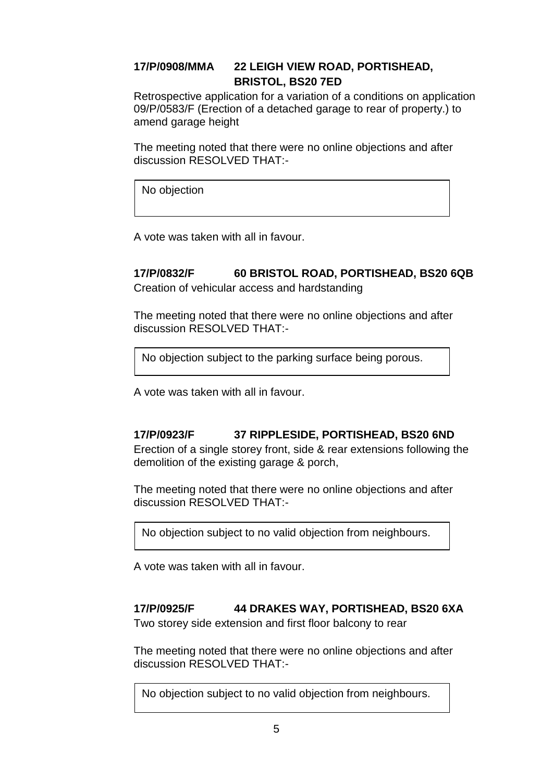# **17/P/0908/MMA 22 LEIGH VIEW ROAD, PORTISHEAD, BRISTOL, BS20 7ED**

Retrospective application for a variation of a conditions on application 09/P/0583/F (Erection of a detached garage to rear of property.) to amend garage height

The meeting noted that there were no online objections and after discussion RESOLVED THAT:-

No objection

A vote was taken with all in favour.

# **17/P/0832/F 60 BRISTOL ROAD, PORTISHEAD, BS20 6QB**

Creation of vehicular access and hardstanding

The meeting noted that there were no online objections and after discussion RESOLVED THAT:-

No objection subject to the parking surface being porous.

A vote was taken with all in favour.

# **17/P/0923/F 37 RIPPLESIDE, PORTISHEAD, BS20 6ND**

Erection of a single storey front, side & rear extensions following the demolition of the existing garage & porch,

The meeting noted that there were no online objections and after discussion RESOLVED THAT:-

No objection subject to no valid objection from neighbours.

A vote was taken with all in favour.

# **17/P/0925/F 44 DRAKES WAY, PORTISHEAD, BS20 6XA**

Two storey side extension and first floor balcony to rear

The meeting noted that there were no online objections and after discussion RESOLVED THAT:-

No objection subject to no valid objection from neighbours.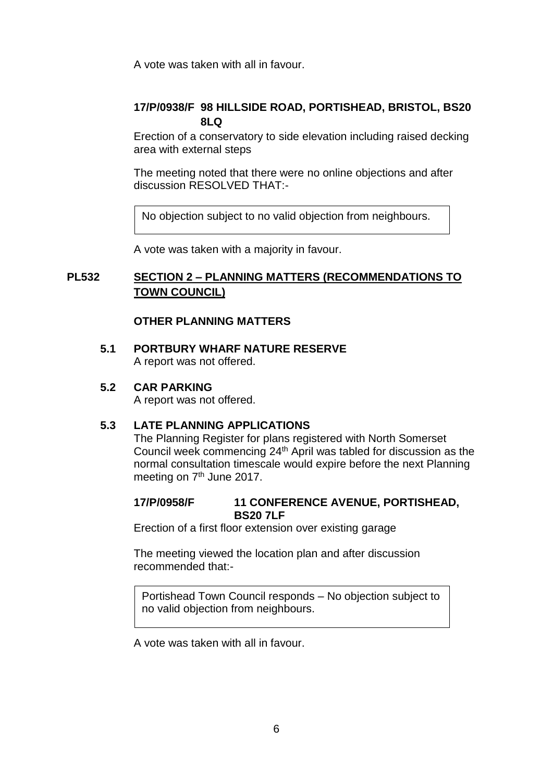A vote was taken with all in favour.

# **17/P/0938/F 98 HILLSIDE ROAD, PORTISHEAD, BRISTOL, BS20 8LQ**

Erection of a conservatory to side elevation including raised decking area with external steps

The meeting noted that there were no online objections and after discussion RESOLVED THAT:-

No objection subject to no valid objection from neighbours.

A vote was taken with a majority in favour.

### **PL532 SECTION 2 – PLANNING MATTERS (RECOMMENDATIONS TO TOWN COUNCIL)**

### **OTHER PLANNING MATTERS**

**5.1 PORTBURY WHARF NATURE RESERVE** A report was not offered.

### **5.2 CAR PARKING**

A report was not offered.

### **5.3 LATE PLANNING APPLICATIONS**

The Planning Register for plans registered with North Somerset Council week commencing  $24<sup>th</sup>$  April was tabled for discussion as the normal consultation timescale would expire before the next Planning meeting on 7<sup>th</sup> June 2017.

#### **17/P/0958/F 11 CONFERENCE AVENUE, PORTISHEAD, BS20 7LF**

Erection of a first floor extension over existing garage

The meeting viewed the location plan and after discussion recommended that:-

Portishead Town Council responds – No objection subject to no valid objection from neighbours.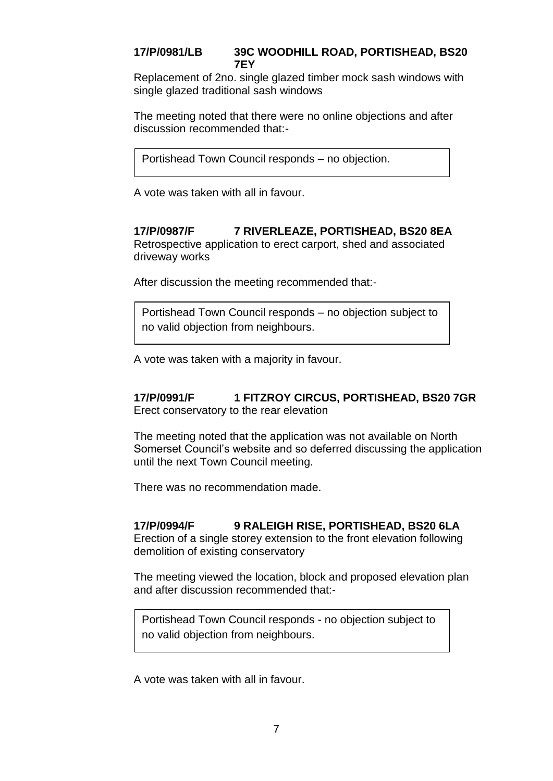# **17/P/0981/LB 39C WOODHILL ROAD, PORTISHEAD, BS20 7EY**

Replacement of 2no. single glazed timber mock sash windows with single glazed traditional sash windows

The meeting noted that there were no online objections and after discussion recommended that:-

Portishead Town Council responds – no objection.

A vote was taken with all in favour.

# **17/P/0987/F 7 RIVERLEAZE, PORTISHEAD, BS20 8EA**

Retrospective application to erect carport, shed and associated driveway works

After discussion the meeting recommended that:-

Portishead Town Council responds – no objection subject to no valid objection from neighbours.

A vote was taken with a majority in favour.

#### **17/P/0991/F 1 FITZROY CIRCUS, PORTISHEAD, BS20 7GR** Erect conservatory to the rear elevation

The meeting noted that the application was not available on North Somerset Council's website and so deferred discussing the application until the next Town Council meeting.

There was no recommendation made.

# **17/P/0994/F 9 RALEIGH RISE, PORTISHEAD, BS20 6LA**

Erection of a single storey extension to the front elevation following demolition of existing conservatory

The meeting viewed the location, block and proposed elevation plan and after discussion recommended that:-

Portishead Town Council responds - no objection subject to no valid objection from neighbours.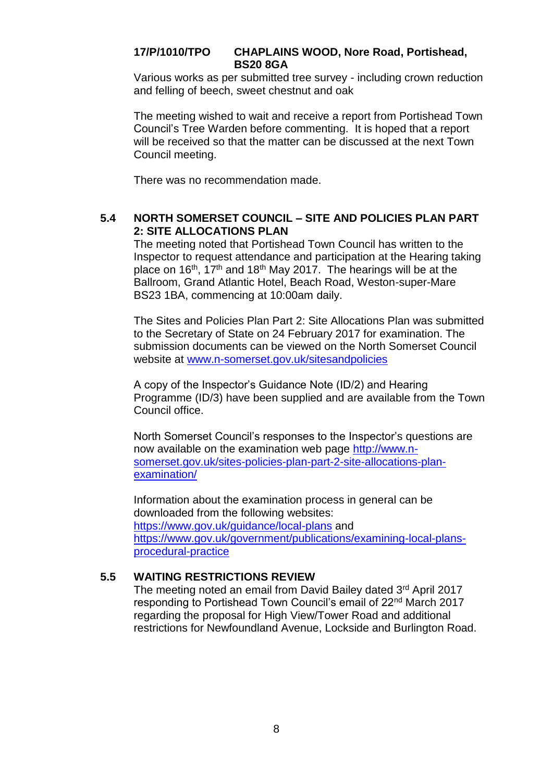# **17/P/1010/TPO CHAPLAINS WOOD, Nore Road, Portishead, BS20 8GA**

Various works as per submitted tree survey - including crown reduction and felling of beech, sweet chestnut and oak

The meeting wished to wait and receive a report from Portishead Town Council's Tree Warden before commenting. It is hoped that a report will be received so that the matter can be discussed at the next Town Council meeting.

There was no recommendation made.

### **5.4 NORTH SOMERSET COUNCIL – SITE AND POLICIES PLAN PART 2: SITE ALLOCATIONS PLAN**

The meeting noted that Portishead Town Council has written to the Inspector to request attendance and participation at the Hearing taking place on  $16<sup>th</sup>$ ,  $17<sup>th</sup>$  and  $18<sup>th</sup>$  May 2017. The hearings will be at the Ballroom, Grand Atlantic Hotel, Beach Road, Weston-super-Mare BS23 1BA, commencing at 10:00am daily.

The Sites and Policies Plan Part 2: Site Allocations Plan was submitted to the Secretary of State on 24 February 2017 for examination. The submission documents can be viewed on the North Somerset Council website at [www.n-somerset.gov.uk/sitesandpolicies](http://www.n-somerset.gov.uk/sitesandpolicies)

A copy of the Inspector's Guidance Note (ID/2) and Hearing Programme (ID/3) have been supplied and are available from the Town Council office.

North Somerset Council's responses to the Inspector's questions are now available on the examination web page [http://www.n](http://www.n-somerset.gov.uk/sites-policies-plan-part-2-site-allocations-plan-examination/)[somerset.gov.uk/sites-policies-plan-part-2-site-allocations-plan](http://www.n-somerset.gov.uk/sites-policies-plan-part-2-site-allocations-plan-examination/)[examination/](http://www.n-somerset.gov.uk/sites-policies-plan-part-2-site-allocations-plan-examination/)

Information about the examination process in general can be downloaded from the following websites: <https://www.gov.uk/guidance/local-plans> and [https://www.gov.uk/government/publications/examining-local-plans](https://www.gov.uk/government/publications/examining-local-plans-procedural-practice)[procedural-practice](https://www.gov.uk/government/publications/examining-local-plans-procedural-practice)

# **5.5 WAITING RESTRICTIONS REVIEW**

The meeting noted an email from David Bailey dated 3rd April 2017 responding to Portishead Town Council's email of 22nd March 2017 regarding the proposal for High View/Tower Road and additional restrictions for Newfoundland Avenue, Lockside and Burlington Road.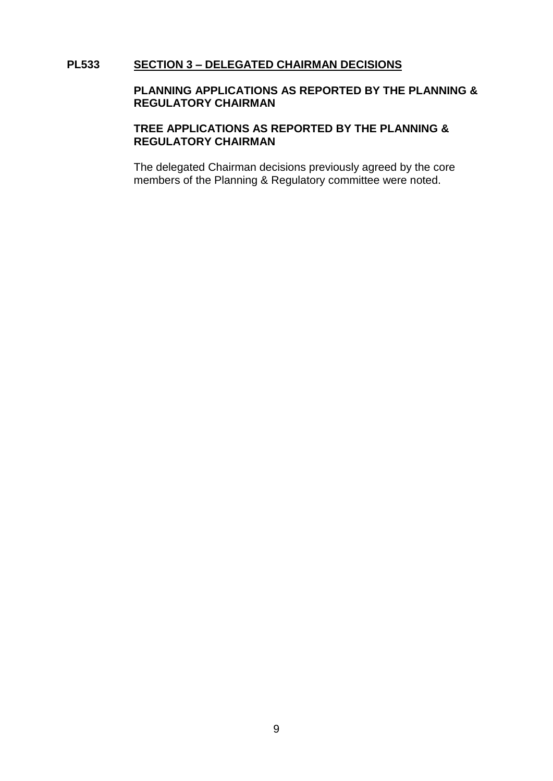#### **PL533 SECTION 3 – DELEGATED CHAIRMAN DECISIONS**

#### **PLANNING APPLICATIONS AS REPORTED BY THE PLANNING & REGULATORY CHAIRMAN**

### **TREE APPLICATIONS AS REPORTED BY THE PLANNING & REGULATORY CHAIRMAN**

The delegated Chairman decisions previously agreed by the core members of the Planning & Regulatory committee were noted.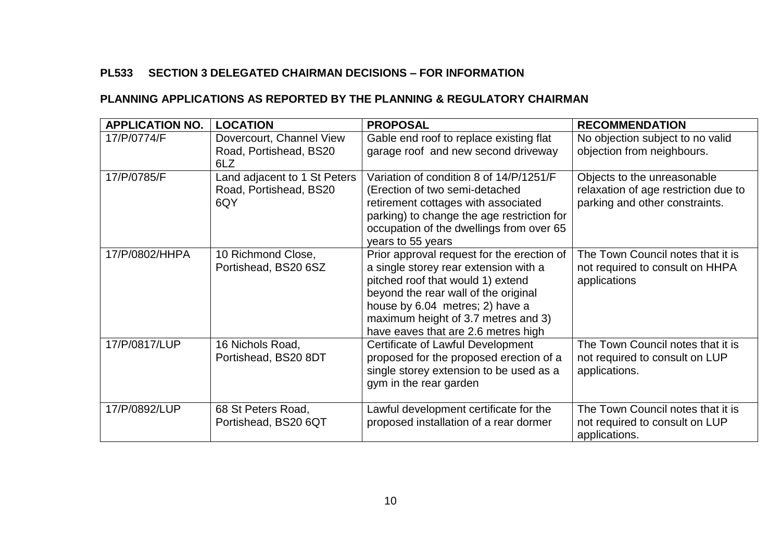# **PL533 SECTION 3 DELEGATED CHAIRMAN DECISIONS – FOR INFORMATION**

# **PLANNING APPLICATIONS AS REPORTED BY THE PLANNING & REGULATORY CHAIRMAN**

| <b>APPLICATION NO.</b> | <b>LOCATION</b>                                               | <b>PROPOSAL</b>                                                                                                                                                                                                                                                                   | <b>RECOMMENDATION</b>                                                                                 |
|------------------------|---------------------------------------------------------------|-----------------------------------------------------------------------------------------------------------------------------------------------------------------------------------------------------------------------------------------------------------------------------------|-------------------------------------------------------------------------------------------------------|
| 17/P/0774/F            | Dovercourt, Channel View<br>Road, Portishead, BS20<br>6LZ     | Gable end roof to replace existing flat<br>garage roof and new second driveway                                                                                                                                                                                                    | No objection subject to no valid<br>objection from neighbours.                                        |
| 17/P/0785/F            | Land adjacent to 1 St Peters<br>Road, Portishead, BS20<br>6QY | Variation of condition 8 of 14/P/1251/F<br>(Erection of two semi-detached<br>retirement cottages with associated<br>parking) to change the age restriction for<br>occupation of the dwellings from over 65<br>years to 55 years                                                   | Objects to the unreasonable<br>relaxation of age restriction due to<br>parking and other constraints. |
| 17/P/0802/HHPA         | 10 Richmond Close,<br>Portishead, BS20 6SZ                    | Prior approval request for the erection of<br>a single storey rear extension with a<br>pitched roof that would 1) extend<br>beyond the rear wall of the original<br>house by 6.04 metres; 2) have a<br>maximum height of 3.7 metres and 3)<br>have eaves that are 2.6 metres high | The Town Council notes that it is<br>not required to consult on HHPA<br>applications                  |
| 17/P/0817/LUP          | 16 Nichols Road,<br>Portishead, BS20 8DT                      | Certificate of Lawful Development<br>proposed for the proposed erection of a<br>single storey extension to be used as a<br>gym in the rear garden                                                                                                                                 | The Town Council notes that it is<br>not required to consult on LUP<br>applications.                  |
| 17/P/0892/LUP          | 68 St Peters Road,<br>Portishead, BS20 6QT                    | Lawful development certificate for the<br>proposed installation of a rear dormer                                                                                                                                                                                                  | The Town Council notes that it is<br>not required to consult on LUP<br>applications.                  |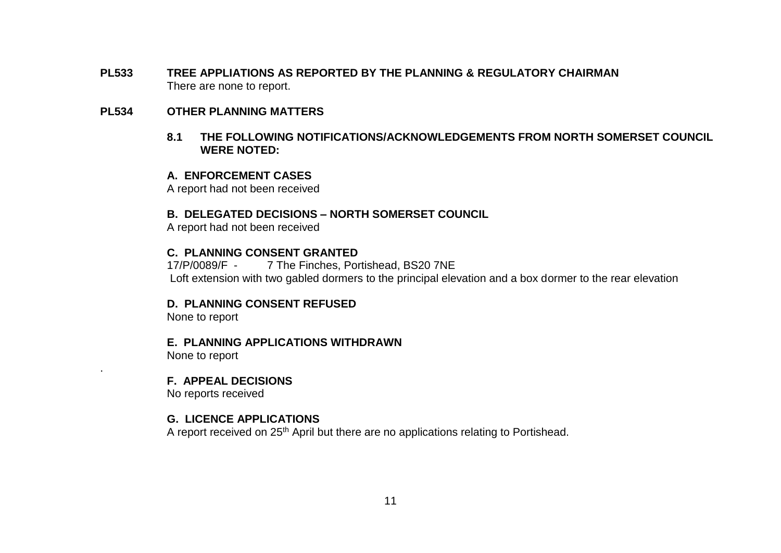**PL533 TREE APPLIATIONS AS REPORTED BY THE PLANNING & REGULATORY CHAIRMAN** There are none to report.

#### **PL534 OTHER PLANNING MATTERS**

**8.1 THE FOLLOWING NOTIFICATIONS/ACKNOWLEDGEMENTS FROM NORTH SOMERSET COUNCIL WERE NOTED:**

#### **A. ENFORCEMENT CASES**

A report had not been received

#### **B. DELEGATED DECISIONS – NORTH SOMERSET COUNCIL**

A report had not been received

#### **C. PLANNING CONSENT GRANTED**

17/P/0089/F - 7 The Finches, Portishead, BS20 7NE Loft extension with two gabled dormers to the principal elevation and a box dormer to the rear elevation

#### **D. PLANNING CONSENT REFUSED**

None to report

#### **E. PLANNING APPLICATIONS WITHDRAWN**

None to report

.

#### **F. APPEAL DECISIONS**

No reports received

#### **G. LICENCE APPLICATIONS**

A report received on 25<sup>th</sup> April but there are no applications relating to Portishead.